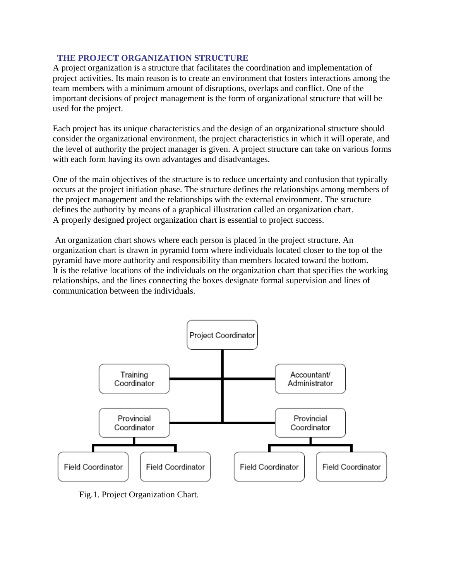#### **THE PROJECT ORGANIZATION STRUCTURE**

A project organization is a structure that facilitates the coordination and implementation of project activities. Its main reason is to create an environment that fosters interactions among the team members with a minimum amount of disruptions, overlaps and conflict. One of the important decisions of project management is the form of organizational structure that will be used for the project.

Each project has its unique characteristics and the design of an organizational structure should consider the organizational environment, the project characteristics in which it will operate, and the level of authority the project manager is given. A project structure can take on various forms with each form having its own advantages and disadvantages.

One of the main objectives of the structure is to reduce uncertainty and confusion that typically occurs at the project initiation phase. The structure defines the relationships among members of the project management and the relationships with the external environment. The structure defines the authority by means of a graphical illustration called an organization chart. A properly designed project organization chart is essential to project success.

An organization chart shows where each person is placed in the project structure. An organization chart is drawn in pyramid form where individuals located closer to the top of the pyramid have more authority and responsibility than members located toward the bottom. It is the relative locations of the individuals on the organization chart that specifies the working relationships, and the lines connecting the boxes designate formal supervision and lines of communication between the individuals.



Fig.1. Project Organization Chart.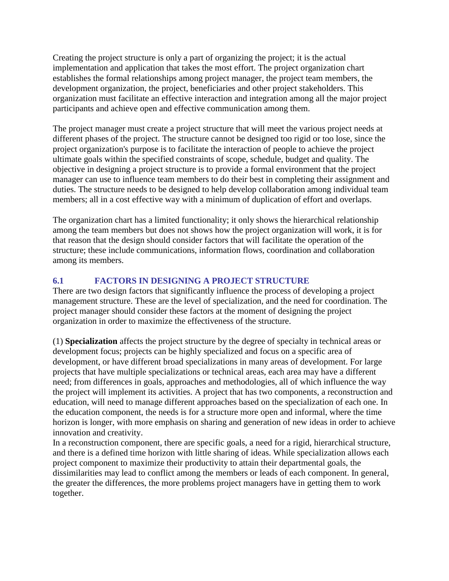Creating the project structure is only a part of organizing the project; it is the actual implementation and application that takes the most effort. The project organization chart establishes the formal relationships among project manager, the project team members, the development organization, the project, beneficiaries and other project stakeholders. This organization must facilitate an effective interaction and integration among all the major project participants and achieve open and effective communication among them.

The project manager must create a project structure that will meet the various project needs at different phases of the project. The structure cannot be designed too rigid or too lose, since the project organization's purpose is to facilitate the interaction of people to achieve the project ultimate goals within the specified constraints of scope, schedule, budget and quality. The objective in designing a project structure is to provide a formal environment that the project manager can use to influence team members to do their best in completing their assignment and duties. The structure needs to be designed to help develop collaboration among individual team members; all in a cost effective way with a minimum of duplication of effort and overlaps.

The organization chart has a limited functionality; it only shows the hierarchical relationship among the team members but does not shows how the project organization will work, it is for that reason that the design should consider factors that will facilitate the operation of the structure; these include communications, information flows, coordination and collaboration among its members.

### **6.1 FACTORS IN DESIGNING A PROJECT STRUCTURE**

There are two design factors that significantly influence the process of developing a project management structure. These are the level of specialization, and the need for coordination. The project manager should consider these factors at the moment of designing the project organization in order to maximize the effectiveness of the structure.

(1) **Specialization** affects the project structure by the degree of specialty in technical areas or development focus; projects can be highly specialized and focus on a specific area of development, or have different broad specializations in many areas of development. For large projects that have multiple specializations or technical areas, each area may have a different need; from differences in goals, approaches and methodologies, all of which influence the way the project will implement its activities. A project that has two components, a reconstruction and education, will need to manage different approaches based on the specialization of each one. In the education component, the needs is for a structure more open and informal, where the time horizon is longer, with more emphasis on sharing and generation of new ideas in order to achieve innovation and creativity.

In a reconstruction component, there are specific goals, a need for a rigid, hierarchical structure, and there is a defined time horizon with little sharing of ideas. While specialization allows each project component to maximize their productivity to attain their departmental goals, the dissimilarities may lead to conflict among the members or leads of each component. In general, the greater the differences, the more problems project managers have in getting them to work together.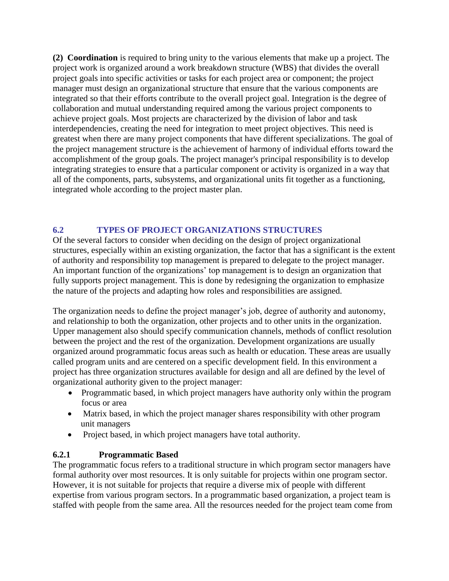**(2) Coordination** is required to bring unity to the various elements that make up a project. The project work is organized around a work breakdown structure (WBS) that divides the overall project goals into specific activities or tasks for each project area or component; the project manager must design an organizational structure that ensure that the various components are integrated so that their efforts contribute to the overall project goal. Integration is the degree of collaboration and mutual understanding required among the various project components to achieve project goals. Most projects are characterized by the division of labor and task interdependencies, creating the need for integration to meet project objectives. This need is greatest when there are many project components that have different specializations. The goal of the project management structure is the achievement of harmony of individual efforts toward the accomplishment of the group goals. The project manager's principal responsibility is to develop integrating strategies to ensure that a particular component or activity is organized in a way that all of the components, parts, subsystems, and organizational units fit together as a functioning, integrated whole according to the project master plan.

### **6.2 TYPES OF PROJECT ORGANIZATIONS STRUCTURES**

Of the several factors to consider when deciding on the design of project organizational structures, especially within an existing organization, the factor that has a significant is the extent of authority and responsibility top management is prepared to delegate to the project manager. An important function of the organizations' top management is to design an organization that fully supports project management. This is done by redesigning the organization to emphasize the nature of the projects and adapting how roles and responsibilities are assigned.

The organization needs to define the project manager's job, degree of authority and autonomy, and relationship to both the organization, other projects and to other units in the organization. Upper management also should specify communication channels, methods of conflict resolution between the project and the rest of the organization. Development organizations are usually organized around programmatic focus areas such as health or education. These areas are usually called program units and are centered on a specific development field. In this environment a project has three organization structures available for design and all are defined by the level of organizational authority given to the project manager:

- Programmatic based, in which project managers have authority only within the program focus or area
- Matrix based, in which the project manager shares responsibility with other program unit managers
- Project based, in which project managers have total authority.

#### **6.2.1 Programmatic Based**

The programmatic focus refers to a traditional structure in which program sector managers have formal authority over most resources. It is only suitable for projects within one program sector. However, it is not suitable for projects that require a diverse mix of people with different expertise from various program sectors. In a programmatic based organization, a project team is staffed with people from the same area. All the resources needed for the project team come from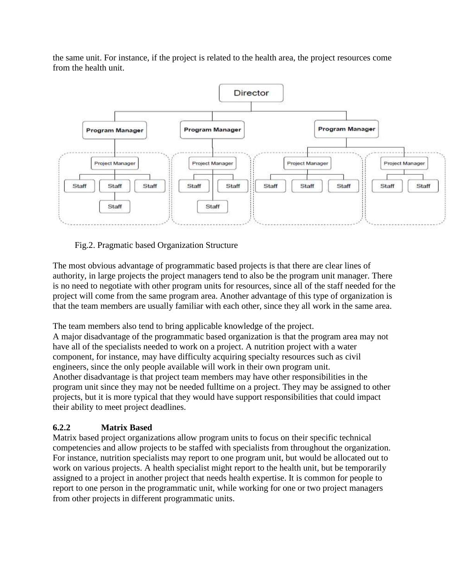the same unit. For instance, if the project is related to the health area, the project resources come from the health unit.



Fig.2. Pragmatic based Organization Structure

The most obvious advantage of programmatic based projects is that there are clear lines of authority, in large projects the project managers tend to also be the program unit manager. There is no need to negotiate with other program units for resources, since all of the staff needed for the project will come from the same program area. Another advantage of this type of organization is that the team members are usually familiar with each other, since they all work in the same area.

The team members also tend to bring applicable knowledge of the project.

A major disadvantage of the programmatic based organization is that the program area may not have all of the specialists needed to work on a project. A nutrition project with a water component, for instance, may have difficulty acquiring specialty resources such as civil engineers, since the only people available will work in their own program unit. Another disadvantage is that project team members may have other responsibilities in the program unit since they may not be needed fulltime on a project. They may be assigned to other projects, but it is more typical that they would have support responsibilities that could impact their ability to meet project deadlines.

# **6.2.2 Matrix Based**

Matrix based project organizations allow program units to focus on their specific technical competencies and allow projects to be staffed with specialists from throughout the organization. For instance, nutrition specialists may report to one program unit, but would be allocated out to work on various projects. A health specialist might report to the health unit, but be temporarily assigned to a project in another project that needs health expertise. It is common for people to report to one person in the programmatic unit, while working for one or two project managers from other projects in different programmatic units.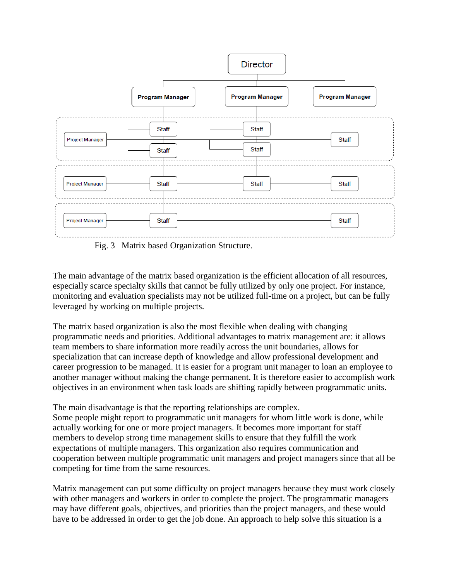

Fig. 3 Matrix based Organization Structure.

The main advantage of the matrix based organization is the efficient allocation of all resources, especially scarce specialty skills that cannot be fully utilized by only one project. For instance, monitoring and evaluation specialists may not be utilized full-time on a project, but can be fully leveraged by working on multiple projects.

The matrix based organization is also the most flexible when dealing with changing programmatic needs and priorities. Additional advantages to matrix management are: it allows team members to share information more readily across the unit boundaries, allows for specialization that can increase depth of knowledge and allow professional development and career progression to be managed. It is easier for a program unit manager to loan an employee to another manager without making the change permanent. It is therefore easier to accomplish work objectives in an environment when task loads are shifting rapidly between programmatic units.

The main disadvantage is that the reporting relationships are complex. Some people might report to programmatic unit managers for whom little work is done, while actually working for one or more project managers. It becomes more important for staff members to develop strong time management skills to ensure that they fulfill the work expectations of multiple managers. This organization also requires communication and cooperation between multiple programmatic unit managers and project managers since that all be competing for time from the same resources.

Matrix management can put some difficulty on project managers because they must work closely with other managers and workers in order to complete the project. The programmatic managers may have different goals, objectives, and priorities than the project managers, and these would have to be addressed in order to get the job done. An approach to help solve this situation is a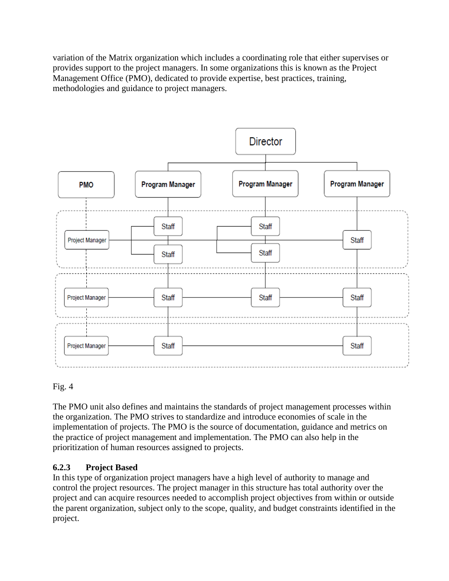variation of the Matrix organization which includes a coordinating role that either supervises or provides support to the project managers. In some organizations this is known as the Project Management Office (PMO), dedicated to provide expertise, best practices, training, methodologies and guidance to project managers.



### Fig. 4

The PMO unit also defines and maintains the standards of project management processes within the organization. The PMO strives to standardize and introduce economies of scale in the implementation of projects. The PMO is the source of documentation, guidance and metrics on the practice of project management and implementation. The PMO can also help in the prioritization of human resources assigned to projects.

#### **6.2.3 Project Based**

In this type of organization project managers have a high level of authority to manage and control the project resources. The project manager in this structure has total authority over the project and can acquire resources needed to accomplish project objectives from within or outside the parent organization, subject only to the scope, quality, and budget constraints identified in the project.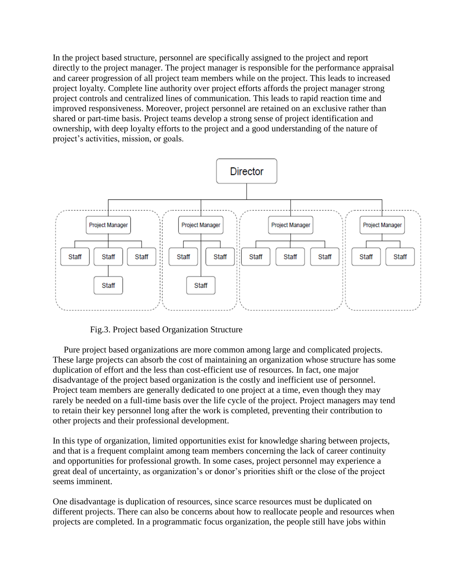In the project based structure, personnel are specifically assigned to the project and report directly to the project manager. The project manager is responsible for the performance appraisal and career progression of all project team members while on the project. This leads to increased project loyalty. Complete line authority over project efforts affords the project manager strong project controls and centralized lines of communication. This leads to rapid reaction time and improved responsiveness. Moreover, project personnel are retained on an exclusive rather than shared or part-time basis. Project teams develop a strong sense of project identification and ownership, with deep loyalty efforts to the project and a good understanding of the nature of project's activities, mission, or goals.



Fig.3. Project based Organization Structure

 Pure project based organizations are more common among large and complicated projects. These large projects can absorb the cost of maintaining an organization whose structure has some duplication of effort and the less than cost-efficient use of resources. In fact, one major disadvantage of the project based organization is the costly and inefficient use of personnel. Project team members are generally dedicated to one project at a time, even though they may rarely be needed on a full-time basis over the life cycle of the project. Project managers may tend to retain their key personnel long after the work is completed, preventing their contribution to other projects and their professional development.

In this type of organization, limited opportunities exist for knowledge sharing between projects, and that is a frequent complaint among team members concerning the lack of career continuity and opportunities for professional growth. In some cases, project personnel may experience a great deal of uncertainty, as organization's or donor's priorities shift or the close of the project seems imminent.

One disadvantage is duplication of resources, since scarce resources must be duplicated on different projects. There can also be concerns about how to reallocate people and resources when projects are completed. In a programmatic focus organization, the people still have jobs within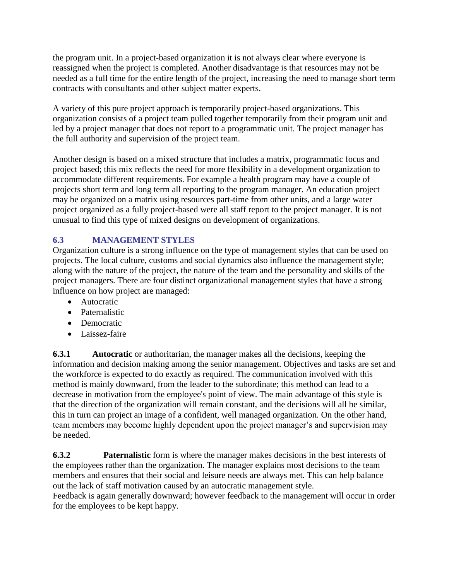the program unit. In a project-based organization it is not always clear where everyone is reassigned when the project is completed. Another disadvantage is that resources may not be needed as a full time for the entire length of the project, increasing the need to manage short term contracts with consultants and other subject matter experts.

A variety of this pure project approach is temporarily project-based organizations. This organization consists of a project team pulled together temporarily from their program unit and led by a project manager that does not report to a programmatic unit. The project manager has the full authority and supervision of the project team.

Another design is based on a mixed structure that includes a matrix, programmatic focus and project based; this mix reflects the need for more flexibility in a development organization to accommodate different requirements. For example a health program may have a couple of projects short term and long term all reporting to the program manager. An education project may be organized on a matrix using resources part-time from other units, and a large water project organized as a fully project-based were all staff report to the project manager. It is not unusual to find this type of mixed designs on development of organizations.

# **6.3 MANAGEMENT STYLES**

Organization culture is a strong influence on the type of management styles that can be used on projects. The local culture, customs and social dynamics also influence the management style; along with the nature of the project, the nature of the team and the personality and skills of the project managers. There are four distinct organizational management styles that have a strong influence on how project are managed:

- Autocratic
- Paternalistic
- Democratic
- Laissez-faire

**6.3.1** Autocratic or authoritarian, the manager makes all the decisions, keeping the information and decision making among the senior management. Objectives and tasks are set and the workforce is expected to do exactly as required. The communication involved with this method is mainly downward, from the leader to the subordinate; this method can lead to a decrease in motivation from the employee's point of view. The main advantage of this style is that the direction of the organization will remain constant, and the decisions will all be similar, this in turn can project an image of a confident, well managed organization. On the other hand, team members may become highly dependent upon the project manager's and supervision may be needed.

**6.3.2** Paternalistic form is where the manager makes decisions in the best interests of the employees rather than the organization. The manager explains most decisions to the team members and ensures that their social and leisure needs are always met. This can help balance out the lack of staff motivation caused by an autocratic management style.

Feedback is again generally downward; however feedback to the management will occur in order for the employees to be kept happy.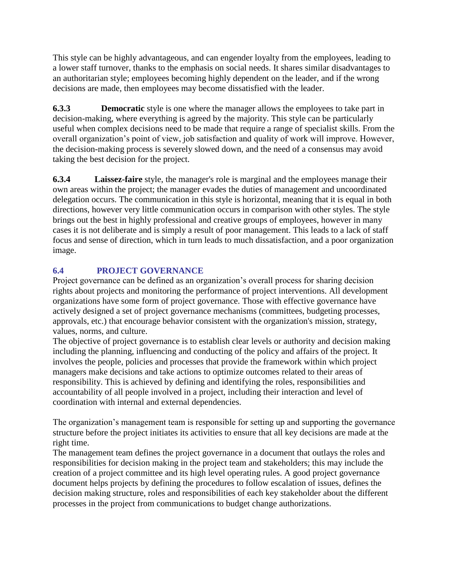This style can be highly advantageous, and can engender loyalty from the employees, leading to a lower staff turnover, thanks to the emphasis on social needs. It shares similar disadvantages to an authoritarian style; employees becoming highly dependent on the leader, and if the wrong decisions are made, then employees may become dissatisfied with the leader.

**6.3.3 Democratic** style is one where the manager allows the employees to take part in decision-making, where everything is agreed by the majority. This style can be particularly useful when complex decisions need to be made that require a range of specialist skills. From the overall organization's point of view, job satisfaction and quality of work will improve. However, the decision-making process is severely slowed down, and the need of a consensus may avoid taking the best decision for the project.

**6.3.4 Laissez-faire** style, the manager's role is marginal and the employees manage their own areas within the project; the manager evades the duties of management and uncoordinated delegation occurs. The communication in this style is horizontal, meaning that it is equal in both directions, however very little communication occurs in comparison with other styles. The style brings out the best in highly professional and creative groups of employees, however in many cases it is not deliberate and is simply a result of poor management. This leads to a lack of staff focus and sense of direction, which in turn leads to much dissatisfaction, and a poor organization image.

# **6.4 PROJECT GOVERNANCE**

Project governance can be defined as an organization's overall process for sharing decision rights about projects and monitoring the performance of project interventions. All development organizations have some form of project governance. Those with effective governance have actively designed a set of project governance mechanisms (committees, budgeting processes, approvals, etc.) that encourage behavior consistent with the organization's mission, strategy, values, norms, and culture.

The objective of project governance is to establish clear levels or authority and decision making including the planning, influencing and conducting of the policy and affairs of the project. It involves the people, policies and processes that provide the framework within which project managers make decisions and take actions to optimize outcomes related to their areas of responsibility. This is achieved by defining and identifying the roles, responsibilities and accountability of all people involved in a project, including their interaction and level of coordination with internal and external dependencies.

The organization's management team is responsible for setting up and supporting the governance structure before the project initiates its activities to ensure that all key decisions are made at the right time.

The management team defines the project governance in a document that outlays the roles and responsibilities for decision making in the project team and stakeholders; this may include the creation of a project committee and its high level operating rules. A good project governance document helps projects by defining the procedures to follow escalation of issues, defines the decision making structure, roles and responsibilities of each key stakeholder about the different processes in the project from communications to budget change authorizations.